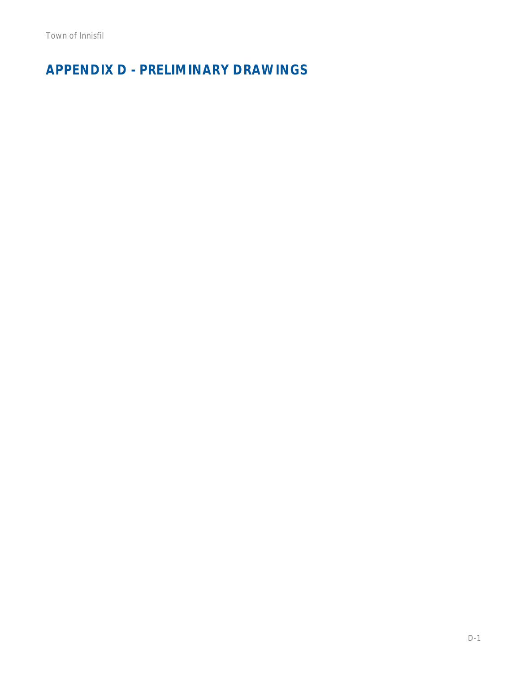# **APPENDIX D - PRELIMINARY DRAWINGS**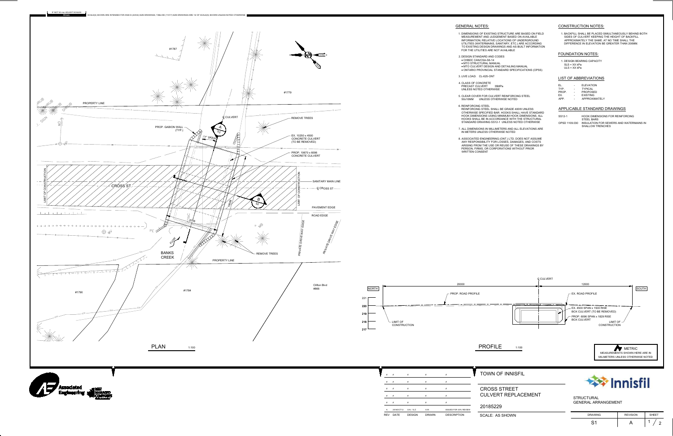

| EL.   | <b>ELEVATION</b> |
|-------|------------------|
| TYP.  | <b>TYPICAL</b>   |
| PROP. | <b>PROPOSED</b>  |
| FX.   | <b>EXISTING</b>  |
| APP.  | APPROXIMATELY    |

| SS12-1        | HOOK DIMENSIONS FOR REINFORCING         |
|---------------|-----------------------------------------|
|               | STEEL BARS                              |
| OPSD 1109.030 | INSULATION FOR SEWERS AND WATERMAINS IN |
|               | <b>SHALLOW TRENCHES</b>                 |

| .ZY |  |  |  |
|-----|--|--|--|
|     |  |  |  |

| <b>HOWN</b> | <b>DRAWING</b> | <b>REVISION</b> | <b>SHEET</b>  |
|-------------|----------------|-----------------|---------------|
|             | ⌒ィ<br>ັ        |                 | r<br><u>_</u> |